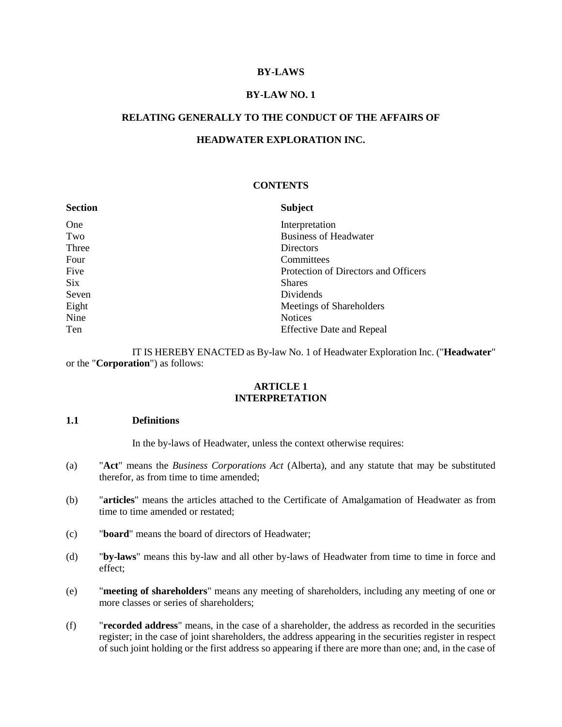#### **BY-LAWS**

#### **BY-LAW NO. 1**

### **RELATING GENERALLY TO THE CONDUCT OF THE AFFAIRS OF**

### **HEADWATER EXPLORATION INC.**

#### **CONTENTS**

| <b>Section</b> | <b>Subject</b>                       |
|----------------|--------------------------------------|
| One            | Interpretation                       |
| Two            | <b>Business of Headwater</b>         |
| Three          | Directors                            |
| Four           | Committees                           |
| Five           | Protection of Directors and Officers |
| Six            | <b>Shares</b>                        |
| Seven          | Dividends                            |
| Eight          | Meetings of Shareholders             |
| Nine           | <b>Notices</b>                       |
| Ten            | <b>Effective Date and Repeal</b>     |

IT IS HEREBY ENACTED as By-law No. 1 of Headwater Exploration Inc. ("**Headwater**" or the "**Corporation**") as follows:

### **ARTICLE 1 INTERPRETATION**

#### **1.1 Definitions**

In the by-laws of Headwater, unless the context otherwise requires:

- (a) "**Act**" means the *Business Corporations Act* (Alberta), and any statute that may be substituted therefor, as from time to time amended;
- (b) "**articles**" means the articles attached to the Certificate of Amalgamation of Headwater as from time to time amended or restated;
- (c) "**board**" means the board of directors of Headwater;
- (d) "**by-laws**" means this by-law and all other by-laws of Headwater from time to time in force and effect;
- (e) "**meeting of shareholders**" means any meeting of shareholders, including any meeting of one or more classes or series of shareholders;
- (f) "**recorded address**" means, in the case of a shareholder, the address as recorded in the securities register; in the case of joint shareholders, the address appearing in the securities register in respect of such joint holding or the first address so appearing if there are more than one; and, in the case of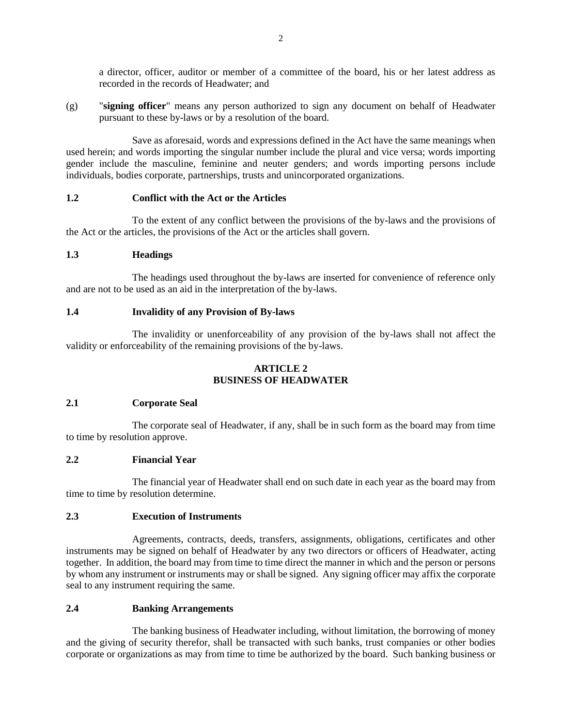a director, officer, auditor or member of a committee of the board, his or her latest address as recorded in the records of Headwater; and

(g) "**signing officer**" means any person authorized to sign any document on behalf of Headwater pursuant to these by-laws or by a resolution of the board.

Save as aforesaid, words and expressions defined in the Act have the same meanings when used herein; and words importing the singular number include the plural and vice versa; words importing gender include the masculine, feminine and neuter genders; and words importing persons include individuals, bodies corporate, partnerships, trusts and unincorporated organizations.

## **1.2 Conflict with the Act or the Articles**

To the extent of any conflict between the provisions of the by-laws and the provisions of the Act or the articles, the provisions of the Act or the articles shall govern.

## **1.3 Headings**

The headings used throughout the by-laws are inserted for convenience of reference only and are not to be used as an aid in the interpretation of the by-laws.

## **1.4 Invalidity of any Provision of By-laws**

The invalidity or unenforceability of any provision of the by-laws shall not affect the validity or enforceability of the remaining provisions of the by-laws.

# **ARTICLE 2 BUSINESS OF HEADWATER**

## **2.1 Corporate Seal**

The corporate seal of Headwater, if any, shall be in such form as the board may from time to time by resolution approve.

## **2.2 Financial Year**

The financial year of Headwater shall end on such date in each year as the board may from time to time by resolution determine.

## **2.3 Execution of Instruments**

Agreements, contracts, deeds, transfers, assignments, obligations, certificates and other instruments may be signed on behalf of Headwater by any two directors or officers of Headwater, acting together. In addition, the board may from time to time direct the manner in which and the person or persons by whom any instrument or instruments may or shall be signed. Any signing officer may affix the corporate seal to any instrument requiring the same.

## **2.4 Banking Arrangements**

The banking business of Headwater including, without limitation, the borrowing of money and the giving of security therefor, shall be transacted with such banks, trust companies or other bodies corporate or organizations as may from time to time be authorized by the board. Such banking business or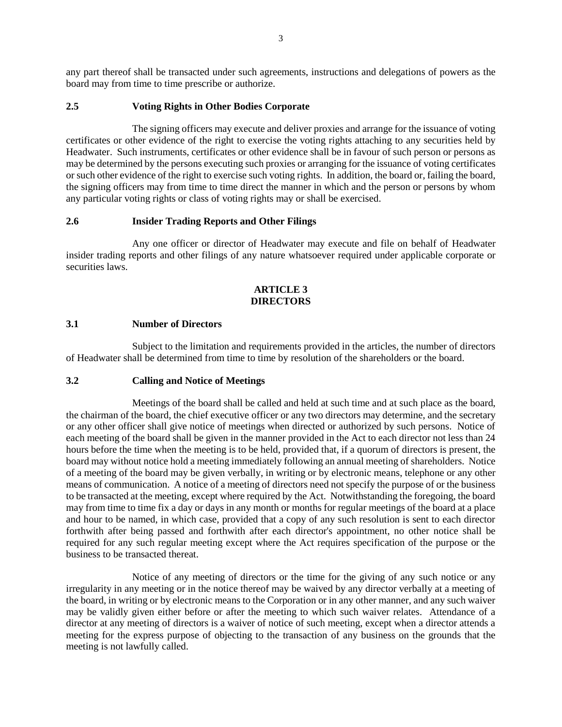any part thereof shall be transacted under such agreements, instructions and delegations of powers as the board may from time to time prescribe or authorize.

### **2.5 Voting Rights in Other Bodies Corporate**

The signing officers may execute and deliver proxies and arrange for the issuance of voting certificates or other evidence of the right to exercise the voting rights attaching to any securities held by Headwater. Such instruments, certificates or other evidence shall be in favour of such person or persons as may be determined by the persons executing such proxies or arranging for the issuance of voting certificates or such other evidence of the right to exercise such voting rights. In addition, the board or, failing the board, the signing officers may from time to time direct the manner in which and the person or persons by whom any particular voting rights or class of voting rights may or shall be exercised.

#### **2.6 Insider Trading Reports and Other Filings**

Any one officer or director of Headwater may execute and file on behalf of Headwater insider trading reports and other filings of any nature whatsoever required under applicable corporate or securities laws.

### **ARTICLE 3 DIRECTORS**

#### **3.1 Number of Directors**

Subject to the limitation and requirements provided in the articles, the number of directors of Headwater shall be determined from time to time by resolution of the shareholders or the board.

#### **3.2 Calling and Notice of Meetings**

Meetings of the board shall be called and held at such time and at such place as the board, the chairman of the board, the chief executive officer or any two directors may determine, and the secretary or any other officer shall give notice of meetings when directed or authorized by such persons. Notice of each meeting of the board shall be given in the manner provided in the Act to each director not less than 24 hours before the time when the meeting is to be held, provided that, if a quorum of directors is present, the board may without notice hold a meeting immediately following an annual meeting of shareholders. Notice of a meeting of the board may be given verbally, in writing or by electronic means, telephone or any other means of communication. A notice of a meeting of directors need not specify the purpose of or the business to be transacted at the meeting, except where required by the Act. Notwithstanding the foregoing, the board may from time to time fix a day or days in any month or months for regular meetings of the board at a place and hour to be named, in which case, provided that a copy of any such resolution is sent to each director forthwith after being passed and forthwith after each director's appointment, no other notice shall be required for any such regular meeting except where the Act requires specification of the purpose or the business to be transacted thereat.

Notice of any meeting of directors or the time for the giving of any such notice or any irregularity in any meeting or in the notice thereof may be waived by any director verbally at a meeting of the board, in writing or by electronic means to the Corporation or in any other manner, and any such waiver may be validly given either before or after the meeting to which such waiver relates. Attendance of a director at any meeting of directors is a waiver of notice of such meeting, except when a director attends a meeting for the express purpose of objecting to the transaction of any business on the grounds that the meeting is not lawfully called.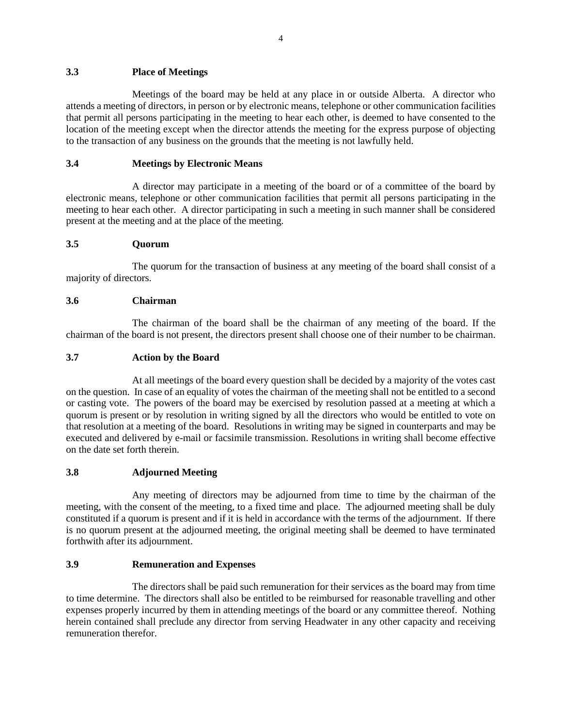## **3.3 Place of Meetings**

Meetings of the board may be held at any place in or outside Alberta. A director who attends a meeting of directors, in person or by electronic means, telephone or other communication facilities that permit all persons participating in the meeting to hear each other, is deemed to have consented to the location of the meeting except when the director attends the meeting for the express purpose of objecting to the transaction of any business on the grounds that the meeting is not lawfully held.

# **3.4 Meetings by Electronic Means**

A director may participate in a meeting of the board or of a committee of the board by electronic means, telephone or other communication facilities that permit all persons participating in the meeting to hear each other. A director participating in such a meeting in such manner shall be considered present at the meeting and at the place of the meeting.

## **3.5 Quorum**

The quorum for the transaction of business at any meeting of the board shall consist of a majority of directors.

### **3.6 Chairman**

The chairman of the board shall be the chairman of any meeting of the board. If the chairman of the board is not present, the directors present shall choose one of their number to be chairman.

## **3.7 Action by the Board**

At all meetings of the board every question shall be decided by a majority of the votes cast on the question. In case of an equality of votes the chairman of the meeting shall not be entitled to a second or casting vote. The powers of the board may be exercised by resolution passed at a meeting at which a quorum is present or by resolution in writing signed by all the directors who would be entitled to vote on that resolution at a meeting of the board. Resolutions in writing may be signed in counterparts and may be executed and delivered by e-mail or facsimile transmission. Resolutions in writing shall become effective on the date set forth therein.

## **3.8 Adjourned Meeting**

Any meeting of directors may be adjourned from time to time by the chairman of the meeting, with the consent of the meeting, to a fixed time and place. The adjourned meeting shall be duly constituted if a quorum is present and if it is held in accordance with the terms of the adjournment. If there is no quorum present at the adjourned meeting, the original meeting shall be deemed to have terminated forthwith after its adjournment.

#### **3.9 Remuneration and Expenses**

The directors shall be paid such remuneration for their services as the board may from time to time determine. The directors shall also be entitled to be reimbursed for reasonable travelling and other expenses properly incurred by them in attending meetings of the board or any committee thereof. Nothing herein contained shall preclude any director from serving Headwater in any other capacity and receiving remuneration therefor.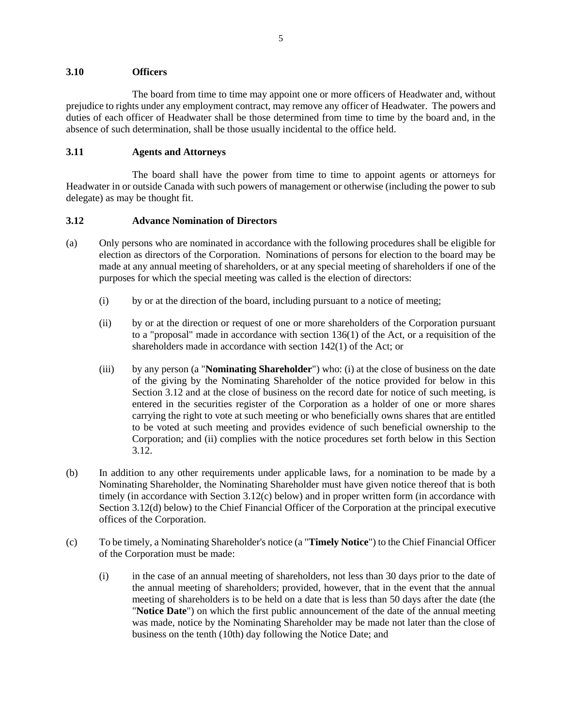## **3.10 Officers**

The board from time to time may appoint one or more officers of Headwater and, without prejudice to rights under any employment contract, may remove any officer of Headwater. The powers and duties of each officer of Headwater shall be those determined from time to time by the board and, in the absence of such determination, shall be those usually incidental to the office held.

## **3.11 Agents and Attorneys**

The board shall have the power from time to time to appoint agents or attorneys for Headwater in or outside Canada with such powers of management or otherwise (including the power to sub delegate) as may be thought fit.

## <span id="page-4-0"></span>**3.12 Advance Nomination of Directors**

- (a) Only persons who are nominated in accordance with the following procedures shall be eligible for election as directors of the Corporation. Nominations of persons for election to the board may be made at any annual meeting of shareholders, or at any special meeting of shareholders if one of the purposes for which the special meeting was called is the election of directors:
	- (i) by or at the direction of the board, including pursuant to a notice of meeting;
	- (ii) by or at the direction or request of one or more shareholders of the Corporation pursuant to a "proposal" made in accordance with section 136(1) of the Act, or a requisition of the shareholders made in accordance with section 142(1) of the Act; or
	- (iii) by any person (a "**Nominating Shareholder**") who: (i) at the close of business on the date of the giving by the Nominating Shareholder of the notice provided for below in this Section [3.12](#page-4-0) and at the close of business on the record date for notice of such meeting, is entered in the securities register of the Corporation as a holder of one or more shares carrying the right to vote at such meeting or who beneficially owns shares that are entitled to be voted at such meeting and provides evidence of such beneficial ownership to the Corporation; and (ii) complies with the notice procedures set forth below in this Section [3.12.](#page-4-0)
- (b) In addition to any other requirements under applicable laws, for a nomination to be made by a Nominating Shareholder, the Nominating Shareholder must have given notice thereof that is both timely (in accordance with Section [3.12\(c\)](#page-4-1) below) and in proper written form (in accordance with Section [3.12\(d\)](#page-5-0) below) to the Chief Financial Officer of the Corporation at the principal executive offices of the Corporation.
- <span id="page-4-2"></span><span id="page-4-1"></span>(c) To be timely, a Nominating Shareholder's notice (a "**Timely Notice**") to the Chief Financial Officer of the Corporation must be made:
	- (i) in the case of an annual meeting of shareholders, not less than 30 days prior to the date of the annual meeting of shareholders; provided, however, that in the event that the annual meeting of shareholders is to be held on a date that is less than 50 days after the date (the "**Notice Date**") on which the first public announcement of the date of the annual meeting was made, notice by the Nominating Shareholder may be made not later than the close of business on the tenth (10th) day following the Notice Date; and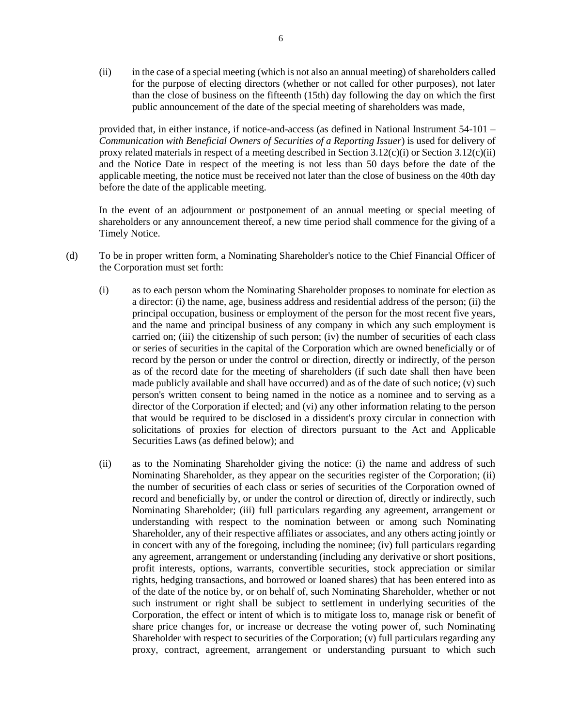<span id="page-5-1"></span>(ii) in the case of a special meeting (which is not also an annual meeting) of shareholders called for the purpose of electing directors (whether or not called for other purposes), not later than the close of business on the fifteenth (15th) day following the day on which the first public announcement of the date of the special meeting of shareholders was made,

provided that, in either instance, if notice-and-access (as defined in National Instrument 54-101 – *Communication with Beneficial Owners of Securities of a Reporting Issuer*) is used for delivery of proxy related materials in respect of a meeting described in Section [3.12\(c\)\(i\)](#page-4-2) or Section [3.12\(c\)\(ii\)](#page-5-1) and the Notice Date in respect of the meeting is not less than 50 days before the date of the applicable meeting, the notice must be received not later than the close of business on the 40th day before the date of the applicable meeting.

In the event of an adjournment or postponement of an annual meeting or special meeting of shareholders or any announcement thereof, a new time period shall commence for the giving of a Timely Notice.

- <span id="page-5-0"></span>(d) To be in proper written form, a Nominating Shareholder's notice to the Chief Financial Officer of the Corporation must set forth:
	- (i) as to each person whom the Nominating Shareholder proposes to nominate for election as a director: (i) the name, age, business address and residential address of the person; (ii) the principal occupation, business or employment of the person for the most recent five years, and the name and principal business of any company in which any such employment is carried on; (iii) the citizenship of such person; (iv) the number of securities of each class or series of securities in the capital of the Corporation which are owned beneficially or of record by the person or under the control or direction, directly or indirectly, of the person as of the record date for the meeting of shareholders (if such date shall then have been made publicly available and shall have occurred) and as of the date of such notice; (v) such person's written consent to being named in the notice as a nominee and to serving as a director of the Corporation if elected; and (vi) any other information relating to the person that would be required to be disclosed in a dissident's proxy circular in connection with solicitations of proxies for election of directors pursuant to the Act and Applicable Securities Laws (as defined below); and
	- (ii) as to the Nominating Shareholder giving the notice: (i) the name and address of such Nominating Shareholder, as they appear on the securities register of the Corporation; (ii) the number of securities of each class or series of securities of the Corporation owned of record and beneficially by, or under the control or direction of, directly or indirectly, such Nominating Shareholder; (iii) full particulars regarding any agreement, arrangement or understanding with respect to the nomination between or among such Nominating Shareholder, any of their respective affiliates or associates, and any others acting jointly or in concert with any of the foregoing, including the nominee; (iv) full particulars regarding any agreement, arrangement or understanding (including any derivative or short positions, profit interests, options, warrants, convertible securities, stock appreciation or similar rights, hedging transactions, and borrowed or loaned shares) that has been entered into as of the date of the notice by, or on behalf of, such Nominating Shareholder, whether or not such instrument or right shall be subject to settlement in underlying securities of the Corporation, the effect or intent of which is to mitigate loss to, manage risk or benefit of share price changes for, or increase or decrease the voting power of, such Nominating Shareholder with respect to securities of the Corporation; (v) full particulars regarding any proxy, contract, agreement, arrangement or understanding pursuant to which such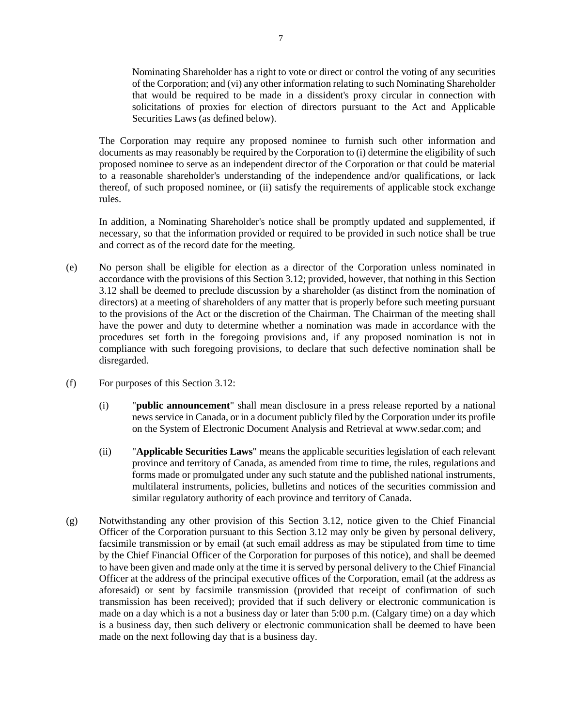Nominating Shareholder has a right to vote or direct or control the voting of any securities of the Corporation; and (vi) any other information relating to such Nominating Shareholder that would be required to be made in a dissident's proxy circular in connection with solicitations of proxies for election of directors pursuant to the Act and Applicable Securities Laws (as defined below).

The Corporation may require any proposed nominee to furnish such other information and documents as may reasonably be required by the Corporation to (i) determine the eligibility of such proposed nominee to serve as an independent director of the Corporation or that could be material to a reasonable shareholder's understanding of the independence and/or qualifications, or lack thereof, of such proposed nominee, or (ii) satisfy the requirements of applicable stock exchange rules.

In addition, a Nominating Shareholder's notice shall be promptly updated and supplemented, if necessary, so that the information provided or required to be provided in such notice shall be true and correct as of the record date for the meeting.

- (e) No person shall be eligible for election as a director of the Corporation unless nominated in accordance with the provisions of this Section [3.12;](#page-4-0) provided, however, that nothing in this Section [3.12](#page-4-0) shall be deemed to preclude discussion by a shareholder (as distinct from the nomination of directors) at a meeting of shareholders of any matter that is properly before such meeting pursuant to the provisions of the Act or the discretion of the Chairman. The Chairman of the meeting shall have the power and duty to determine whether a nomination was made in accordance with the procedures set forth in the foregoing provisions and, if any proposed nomination is not in compliance with such foregoing provisions, to declare that such defective nomination shall be disregarded.
- (f) For purposes of this Section [3.12:](#page-4-0)
	- (i) "**public announcement**" shall mean disclosure in a press release reported by a national news service in Canada, or in a document publicly filed by the Corporation under its profile on the System of Electronic Document Analysis and Retrieval at www.sedar.com; and
	- (ii) "**Applicable Securities Laws**" means the applicable securities legislation of each relevant province and territory of Canada, as amended from time to time, the rules, regulations and forms made or promulgated under any such statute and the published national instruments, multilateral instruments, policies, bulletins and notices of the securities commission and similar regulatory authority of each province and territory of Canada.
- (g) Notwithstanding any other provision of this Section [3.12,](#page-4-0) notice given to the Chief Financial Officer of the Corporation pursuant to this Section [3.12](#page-4-0) may only be given by personal delivery, facsimile transmission or by email (at such email address as may be stipulated from time to time by the Chief Financial Officer of the Corporation for purposes of this notice), and shall be deemed to have been given and made only at the time it is served by personal delivery to the Chief Financial Officer at the address of the principal executive offices of the Corporation, email (at the address as aforesaid) or sent by facsimile transmission (provided that receipt of confirmation of such transmission has been received); provided that if such delivery or electronic communication is made on a day which is a not a business day or later than 5:00 p.m. (Calgary time) on a day which is a business day, then such delivery or electronic communication shall be deemed to have been made on the next following day that is a business day.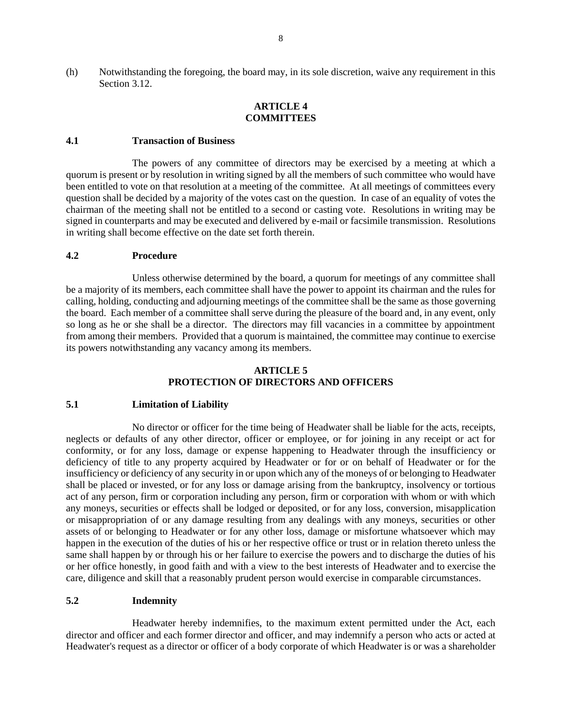(h) Notwithstanding the foregoing, the board may, in its sole discretion, waive any requirement in this Section [3.12.](#page-4-0)

### **ARTICLE 4 COMMITTEES**

#### **4.1 Transaction of Business**

The powers of any committee of directors may be exercised by a meeting at which a quorum is present or by resolution in writing signed by all the members of such committee who would have been entitled to vote on that resolution at a meeting of the committee. At all meetings of committees every question shall be decided by a majority of the votes cast on the question. In case of an equality of votes the chairman of the meeting shall not be entitled to a second or casting vote. Resolutions in writing may be signed in counterparts and may be executed and delivered by e-mail or facsimile transmission. Resolutions in writing shall become effective on the date set forth therein.

### **4.2 Procedure**

Unless otherwise determined by the board, a quorum for meetings of any committee shall be a majority of its members, each committee shall have the power to appoint its chairman and the rules for calling, holding, conducting and adjourning meetings of the committee shall be the same as those governing the board. Each member of a committee shall serve during the pleasure of the board and, in any event, only so long as he or she shall be a director. The directors may fill vacancies in a committee by appointment from among their members. Provided that a quorum is maintained, the committee may continue to exercise its powers notwithstanding any vacancy among its members.

### **ARTICLE 5 PROTECTION OF DIRECTORS AND OFFICERS**

#### **5.1 Limitation of Liability**

No director or officer for the time being of Headwater shall be liable for the acts, receipts, neglects or defaults of any other director, officer or employee, or for joining in any receipt or act for conformity, or for any loss, damage or expense happening to Headwater through the insufficiency or deficiency of title to any property acquired by Headwater or for or on behalf of Headwater or for the insufficiency or deficiency of any security in or upon which any of the moneys of or belonging to Headwater shall be placed or invested, or for any loss or damage arising from the bankruptcy, insolvency or tortious act of any person, firm or corporation including any person, firm or corporation with whom or with which any moneys, securities or effects shall be lodged or deposited, or for any loss, conversion, misapplication or misappropriation of or any damage resulting from any dealings with any moneys, securities or other assets of or belonging to Headwater or for any other loss, damage or misfortune whatsoever which may happen in the execution of the duties of his or her respective office or trust or in relation thereto unless the same shall happen by or through his or her failure to exercise the powers and to discharge the duties of his or her office honestly, in good faith and with a view to the best interests of Headwater and to exercise the care, diligence and skill that a reasonably prudent person would exercise in comparable circumstances.

#### **5.2 Indemnity**

Headwater hereby indemnifies, to the maximum extent permitted under the Act, each director and officer and each former director and officer, and may indemnify a person who acts or acted at Headwater's request as a director or officer of a body corporate of which Headwater is or was a shareholder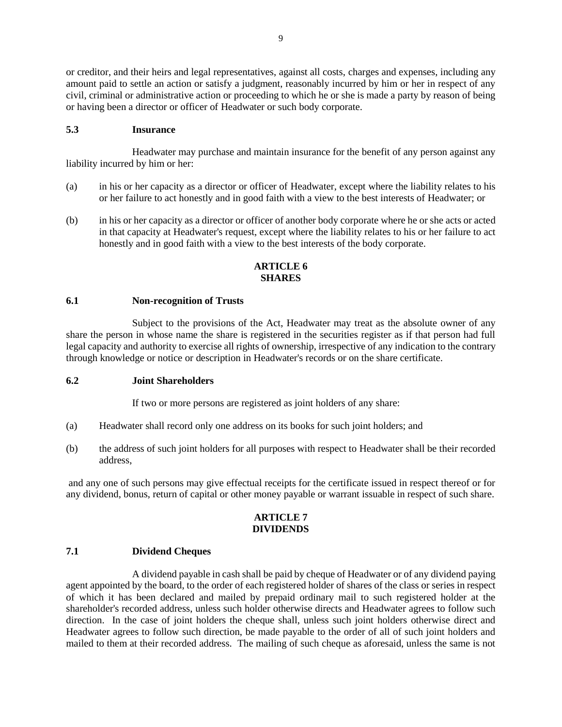or creditor, and their heirs and legal representatives, against all costs, charges and expenses, including any amount paid to settle an action or satisfy a judgment, reasonably incurred by him or her in respect of any civil, criminal or administrative action or proceeding to which he or she is made a party by reason of being or having been a director or officer of Headwater or such body corporate.

### **5.3 Insurance**

Headwater may purchase and maintain insurance for the benefit of any person against any liability incurred by him or her:

- (a) in his or her capacity as a director or officer of Headwater, except where the liability relates to his or her failure to act honestly and in good faith with a view to the best interests of Headwater; or
- (b) in his or her capacity as a director or officer of another body corporate where he or she acts or acted in that capacity at Headwater's request, except where the liability relates to his or her failure to act honestly and in good faith with a view to the best interests of the body corporate.

# **ARTICLE 6 SHARES**

### **6.1 Non-recognition of Trusts**

Subject to the provisions of the Act, Headwater may treat as the absolute owner of any share the person in whose name the share is registered in the securities register as if that person had full legal capacity and authority to exercise all rights of ownership, irrespective of any indication to the contrary through knowledge or notice or description in Headwater's records or on the share certificate.

## **6.2 Joint Shareholders**

If two or more persons are registered as joint holders of any share:

- (a) Headwater shall record only one address on its books for such joint holders; and
- (b) the address of such joint holders for all purposes with respect to Headwater shall be their recorded address,

and any one of such persons may give effectual receipts for the certificate issued in respect thereof or for any dividend, bonus, return of capital or other money payable or warrant issuable in respect of such share.

# **ARTICLE 7 DIVIDENDS**

#### **7.1 Dividend Cheques**

A dividend payable in cash shall be paid by cheque of Headwater or of any dividend paying agent appointed by the board, to the order of each registered holder of shares of the class or series in respect of which it has been declared and mailed by prepaid ordinary mail to such registered holder at the shareholder's recorded address, unless such holder otherwise directs and Headwater agrees to follow such direction. In the case of joint holders the cheque shall, unless such joint holders otherwise direct and Headwater agrees to follow such direction, be made payable to the order of all of such joint holders and mailed to them at their recorded address. The mailing of such cheque as aforesaid, unless the same is not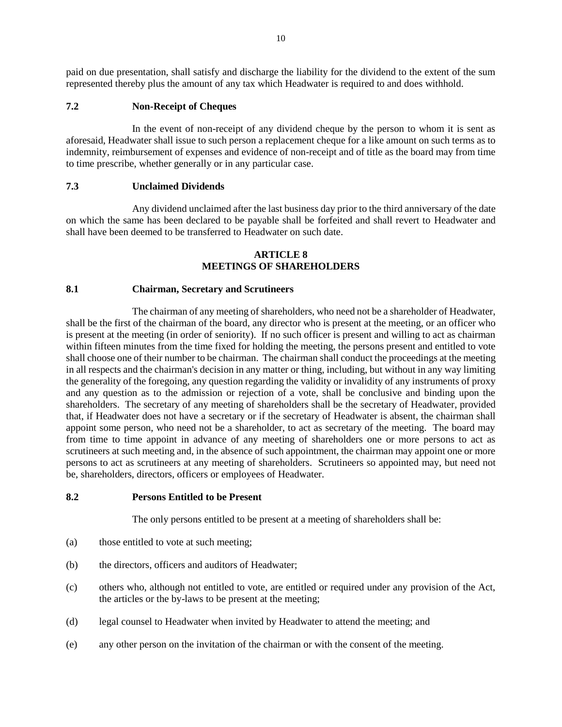paid on due presentation, shall satisfy and discharge the liability for the dividend to the extent of the sum represented thereby plus the amount of any tax which Headwater is required to and does withhold.

# **7.2 Non-Receipt of Cheques**

In the event of non-receipt of any dividend cheque by the person to whom it is sent as aforesaid, Headwater shall issue to such person a replacement cheque for a like amount on such terms as to indemnity, reimbursement of expenses and evidence of non-receipt and of title as the board may from time to time prescribe, whether generally or in any particular case.

## **7.3 Unclaimed Dividends**

Any dividend unclaimed after the last business day prior to the third anniversary of the date on which the same has been declared to be payable shall be forfeited and shall revert to Headwater and shall have been deemed to be transferred to Headwater on such date.

### **ARTICLE 8 MEETINGS OF SHAREHOLDERS**

## **8.1 Chairman, Secretary and Scrutineers**

The chairman of any meeting of shareholders, who need not be a shareholder of Headwater, shall be the first of the chairman of the board, any director who is present at the meeting, or an officer who is present at the meeting (in order of seniority). If no such officer is present and willing to act as chairman within fifteen minutes from the time fixed for holding the meeting, the persons present and entitled to vote shall choose one of their number to be chairman. The chairman shall conduct the proceedings at the meeting in all respects and the chairman's decision in any matter or thing, including, but without in any way limiting the generality of the foregoing, any question regarding the validity or invalidity of any instruments of proxy and any question as to the admission or rejection of a vote, shall be conclusive and binding upon the shareholders. The secretary of any meeting of shareholders shall be the secretary of Headwater, provided that, if Headwater does not have a secretary or if the secretary of Headwater is absent, the chairman shall appoint some person, who need not be a shareholder, to act as secretary of the meeting. The board may from time to time appoint in advance of any meeting of shareholders one or more persons to act as scrutineers at such meeting and, in the absence of such appointment, the chairman may appoint one or more persons to act as scrutineers at any meeting of shareholders. Scrutineers so appointed may, but need not be, shareholders, directors, officers or employees of Headwater.

#### **8.2 Persons Entitled to be Present**

The only persons entitled to be present at a meeting of shareholders shall be:

- (a) those entitled to vote at such meeting;
- (b) the directors, officers and auditors of Headwater;
- (c) others who, although not entitled to vote, are entitled or required under any provision of the Act, the articles or the by-laws to be present at the meeting;
- (d) legal counsel to Headwater when invited by Headwater to attend the meeting; and
- (e) any other person on the invitation of the chairman or with the consent of the meeting.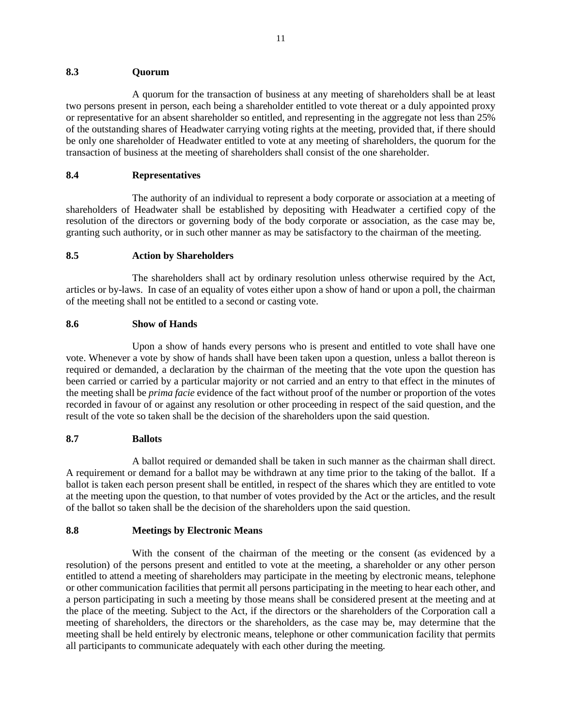### **8.3 Quorum**

A quorum for the transaction of business at any meeting of shareholders shall be at least two persons present in person, each being a shareholder entitled to vote thereat or a duly appointed proxy or representative for an absent shareholder so entitled, and representing in the aggregate not less than 25% of the outstanding shares of Headwater carrying voting rights at the meeting, provided that, if there should be only one shareholder of Headwater entitled to vote at any meeting of shareholders, the quorum for the transaction of business at the meeting of shareholders shall consist of the one shareholder.

## **8.4 Representatives**

The authority of an individual to represent a body corporate or association at a meeting of shareholders of Headwater shall be established by depositing with Headwater a certified copy of the resolution of the directors or governing body of the body corporate or association, as the case may be, granting such authority, or in such other manner as may be satisfactory to the chairman of the meeting.

# **8.5 Action by Shareholders**

The shareholders shall act by ordinary resolution unless otherwise required by the Act, articles or by-laws. In case of an equality of votes either upon a show of hand or upon a poll, the chairman of the meeting shall not be entitled to a second or casting vote.

# **8.6 Show of Hands**

Upon a show of hands every persons who is present and entitled to vote shall have one vote. Whenever a vote by show of hands shall have been taken upon a question, unless a ballot thereon is required or demanded, a declaration by the chairman of the meeting that the vote upon the question has been carried or carried by a particular majority or not carried and an entry to that effect in the minutes of the meeting shall be *prima facie* evidence of the fact without proof of the number or proportion of the votes recorded in favour of or against any resolution or other proceeding in respect of the said question, and the result of the vote so taken shall be the decision of the shareholders upon the said question.

# **8.7 Ballots**

A ballot required or demanded shall be taken in such manner as the chairman shall direct. A requirement or demand for a ballot may be withdrawn at any time prior to the taking of the ballot. If a ballot is taken each person present shall be entitled, in respect of the shares which they are entitled to vote at the meeting upon the question, to that number of votes provided by the Act or the articles, and the result of the ballot so taken shall be the decision of the shareholders upon the said question.

# **8.8 Meetings by Electronic Means**

With the consent of the chairman of the meeting or the consent (as evidenced by a resolution) of the persons present and entitled to vote at the meeting, a shareholder or any other person entitled to attend a meeting of shareholders may participate in the meeting by electronic means, telephone or other communication facilities that permit all persons participating in the meeting to hear each other, and a person participating in such a meeting by those means shall be considered present at the meeting and at the place of the meeting. Subject to the Act, if the directors or the shareholders of the Corporation call a meeting of shareholders, the directors or the shareholders, as the case may be, may determine that the meeting shall be held entirely by electronic means, telephone or other communication facility that permits all participants to communicate adequately with each other during the meeting.